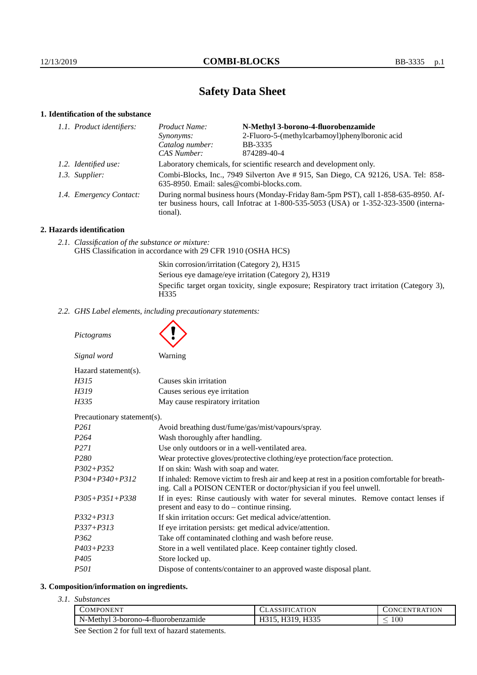# **Safety Data Sheet**

# **1. Identification of the substance**

| 1.1. Product identifiers: | Product Name:                                                                                                                                                                           | N-Methyl 3-borono-4-fluorobenzamide                                 |
|---------------------------|-----------------------------------------------------------------------------------------------------------------------------------------------------------------------------------------|---------------------------------------------------------------------|
|                           | <i>Synonyms:</i>                                                                                                                                                                        | 2-Fluoro-5-(methylcarbamoyl)phenylboronic acid                      |
|                           | Catalog number:                                                                                                                                                                         | BB-3335                                                             |
|                           | CAS Number:                                                                                                                                                                             | 874289-40-4                                                         |
| 1.2. Identified use:      |                                                                                                                                                                                         | Laboratory chemicals, for scientific research and development only. |
| 1.3. Supplier:            | Combi-Blocks, Inc., 7949 Silverton Ave #915, San Diego, CA 92126, USA. Tel: 858-<br>635-8950. Email: sales@combi-blocks.com.                                                            |                                                                     |
| 1.4. Emergency Contact:   | During normal business hours (Monday-Friday 8am-5pm PST), call 1-858-635-8950. Af-<br>ter business hours, call Infotrac at 1-800-535-5053 (USA) or 1-352-323-3500 (interna-<br>tional). |                                                                     |
|                           |                                                                                                                                                                                         |                                                                     |

# **2. Hazards identification**

*2.1. Classification of the substance or mixture:* GHS Classification in accordance with 29 CFR 1910 (OSHA HCS)

> Skin corrosion/irritation (Category 2), H315 Serious eye damage/eye irritation (Category 2), H319 Specific target organ toxicity, single exposure; Respiratory tract irritation (Category 3), H335

*2.2. GHS Label elements, including precautionary statements:*

*Pictograms*

| Signal word          | Warning                |  |
|----------------------|------------------------|--|
| Hazard statement(s). |                        |  |
| H315                 | Causes skin irritation |  |
| <b>FF310</b>         |                        |  |

| H319 | Causes serious eye irritation    |
|------|----------------------------------|
| H335 | May cause respiratory irritation |

Precautionary statement(s).

| I Tecautional y statement 37. |                                                                                                                                                                    |
|-------------------------------|--------------------------------------------------------------------------------------------------------------------------------------------------------------------|
| P261                          | Avoid breathing dust/fume/gas/mist/vapours/spray.                                                                                                                  |
| P264                          | Wash thoroughly after handling.                                                                                                                                    |
| P271                          | Use only outdoors or in a well-ventilated area.                                                                                                                    |
| P280                          | Wear protective gloves/protective clothing/eye protection/face protection.                                                                                         |
| P302+P352                     | If on skin: Wash with soap and water.                                                                                                                              |
| P304+P340+P312                | If inhaled: Remove victim to fresh air and keep at rest in a position comfortable for breath-<br>ing. Call a POISON CENTER or doctor/physician if you feel unwell. |
| P305+P351+P338                | If in eyes: Rinse cautiously with water for several minutes. Remove contact lenses if<br>present and easy to $do$ – continue rinsing.                              |
| P332+P313                     | If skin irritation occurs: Get medical advice/attention.                                                                                                           |
| P337+P313                     | If eye irritation persists: get medical advice/attention.                                                                                                          |
| P362                          | Take off contaminated clothing and wash before reuse.                                                                                                              |
| P403+P233                     | Store in a well ventilated place. Keep container tightly closed.                                                                                                   |
| P405                          | Store locked up.                                                                                                                                                   |
| P501                          | Dispose of contents/container to an approved waste disposal plant.                                                                                                 |
|                               |                                                                                                                                                                    |

#### **3. Composition/information on ingredients.**

*3.1. Substances*

| $100\,$<br>N-Methyl<br>3-borono-4-fluorobenzamide<br>ᆦᅹ<br>11JJJ | <b>OMPONEN</b> | <b>ATION</b> | TION<br>`R A<br>`H`N<br><b>INI</b> |
|------------------------------------------------------------------|----------------|--------------|------------------------------------|
|                                                                  |                |              |                                    |

See Section 2 for full text of hazard statements.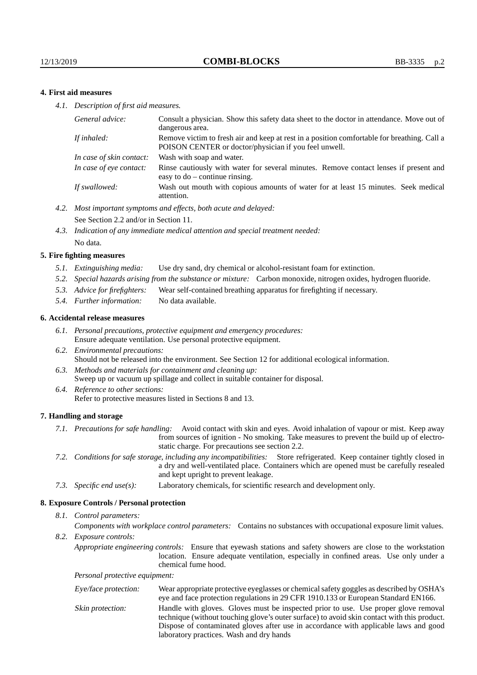## **4. First aid measures**

*4.1. Description of first aid measures.*

| General advice:          | Consult a physician. Show this safety data sheet to the doctor in attendance. Move out of<br>dangerous area.                                         |
|--------------------------|------------------------------------------------------------------------------------------------------------------------------------------------------|
| If inhaled:              | Remove victim to fresh air and keep at rest in a position comfortable for breathing. Call a<br>POISON CENTER or doctor/physician if you feel unwell. |
| In case of skin contact: | Wash with soap and water.                                                                                                                            |
| In case of eve contact:  | Rinse cautiously with water for several minutes. Remove contact lenses if present and<br>easy to $do$ – continue rinsing.                            |
| If swallowed:            | Wash out mouth with copious amounts of water for at least 15 minutes. Seek medical<br>attention.                                                     |

- *4.2. Most important symptoms and effects, both acute and delayed:* See Section 2.2 and/or in Section 11.
- *4.3. Indication of any immediate medical attention and special treatment needed:* No data.

#### **5. Fire fighting measures**

- *5.1. Extinguishing media:* Use dry sand, dry chemical or alcohol-resistant foam for extinction.
- *5.2. Special hazards arising from the substance or mixture:* Carbon monoxide, nitrogen oxides, hydrogen fluoride.
- *5.3. Advice for firefighters:* Wear self-contained breathing apparatus for firefighting if necessary.
- *5.4. Further information:* No data available.

#### **6. Accidental release measures**

- *6.1. Personal precautions, protective equipment and emergency procedures:* Ensure adequate ventilation. Use personal protective equipment.
- *6.2. Environmental precautions:* Should not be released into the environment. See Section 12 for additional ecological information.
- *6.3. Methods and materials for containment and cleaning up:* Sweep up or vacuum up spillage and collect in suitable container for disposal.
- *6.4. Reference to other sections:* Refer to protective measures listed in Sections 8 and 13.

#### **7. Handling and storage**

- *7.1. Precautions for safe handling:* Avoid contact with skin and eyes. Avoid inhalation of vapour or mist. Keep away from sources of ignition - No smoking. Take measures to prevent the build up of electrostatic charge. For precautions see section 2.2.
- *7.2. Conditions for safe storage, including any incompatibilities:* Store refrigerated. Keep container tightly closed in a dry and well-ventilated place. Containers which are opened must be carefully resealed and kept upright to prevent leakage.
- *7.3. Specific end use(s):* Laboratory chemicals, for scientific research and development only.

#### **8. Exposure Controls / Personal protection**

*8.1. Control parameters:*

*Components with workplace control parameters:* Contains no substances with occupational exposure limit values.

*8.2. Exposure controls:*

*Appropriate engineering controls:* Ensure that eyewash stations and safety showers are close to the workstation location. Ensure adequate ventilation, especially in confined areas. Use only under a chemical fume hood.

*Personal protective equipment:*

| Eye/face protection: | Wear appropriate protective eyeglasses or chemical safety goggles as described by OSHA's<br>eye and face protection regulations in 29 CFR 1910.133 or European Standard EN166.                                                                                                                                         |
|----------------------|------------------------------------------------------------------------------------------------------------------------------------------------------------------------------------------------------------------------------------------------------------------------------------------------------------------------|
| Skin protection:     | Handle with gloves. Gloves must be inspected prior to use. Use proper glove removal<br>technique (without touching glove's outer surface) to avoid skin contact with this product.<br>Dispose of contaminated gloves after use in accordance with applicable laws and good<br>laboratory practices. Wash and dry hands |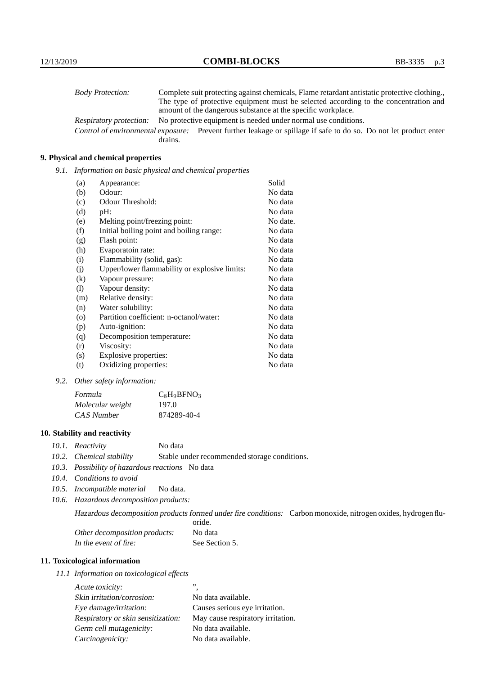| <b>Body Protection:</b> | Complete suit protecting against chemicals, Flame retardant antistatic protective clothing.                       |
|-------------------------|-------------------------------------------------------------------------------------------------------------------|
|                         | The type of protective equipment must be selected according to the concentration and                              |
|                         | amount of the dangerous substance at the specific workplace.                                                      |
| Respiratory protection: | No protective equipment is needed under normal use conditions.                                                    |
|                         | Control of environmental exposure: Prevent further leakage or spillage if safe to do so. Do not let product enter |
|                         | drains.                                                                                                           |

## **9. Physical and chemical properties**

*9.1. Information on basic physical and chemical properties*

| (a)                        | Appearance:                                   | Solid    |
|----------------------------|-----------------------------------------------|----------|
| (b)                        | Odour:                                        | No data  |
| (c)                        | Odour Threshold:                              | No data  |
| (d)                        | pH:                                           | No data  |
| (e)                        | Melting point/freezing point:                 | No date. |
| (f)                        | Initial boiling point and boiling range:      | No data  |
| (g)                        | Flash point:                                  | No data  |
| (h)                        | Evaporatoin rate:                             | No data  |
| (i)                        | Flammability (solid, gas):                    | No data  |
| (i)                        | Upper/lower flammability or explosive limits: | No data  |
| $\rm(k)$                   | Vapour pressure:                              | No data  |
| $\left( \mathrm{l}\right)$ | Vapour density:                               | No data  |
| (m)                        | Relative density:                             | No data  |
| (n)                        | Water solubility:                             | No data  |
| $\circ$                    | Partition coefficient: n-octanol/water:       | No data  |
| (p)                        | Auto-ignition:                                | No data  |
| (q)                        | Decomposition temperature:                    | No data  |
| (r)                        | Viscosity:                                    | No data  |
| (s)                        | Explosive properties:                         | No data  |
| (t)                        | Oxidizing properties:                         | No data  |

*9.2. Other safety information:*

| Formula          | $C_8H_9BFNO_3$ |
|------------------|----------------|
| Molecular weight | 197.0          |
| CAS Number       | 874289-40-4    |

## **10. Stability and reactivity**

- *10.1. Reactivity* No data
- *10.2. Chemical stability* Stable under recommended storage conditions.
- *10.3. Possibility of hazardous reactions* No data
- *10.4. Conditions to avoid*
- *10.5. Incompatible material* No data.
- *10.6. Hazardous decomposition products:*

Hazardous decomposition products formed under fire conditions: Carbon monoxide, nitrogen oxides, hydrogen flu-

|                               | oride.         |
|-------------------------------|----------------|
| Other decomposition products: | No data        |
| In the event of fire:         | See Section 5. |

## **11. Toxicological information**

*11.1 Information on toxicological effects*

| Acute toxicity:                    | ,,                                |
|------------------------------------|-----------------------------------|
| Skin irritation/corrosion:         | No data available.                |
| Eye damage/irritation:             | Causes serious eye irritation.    |
| Respiratory or skin sensitization: | May cause respiratory irritation. |
| Germ cell mutagenicity:            | No data available.                |
| Carcinogenicity:                   | No data available.                |